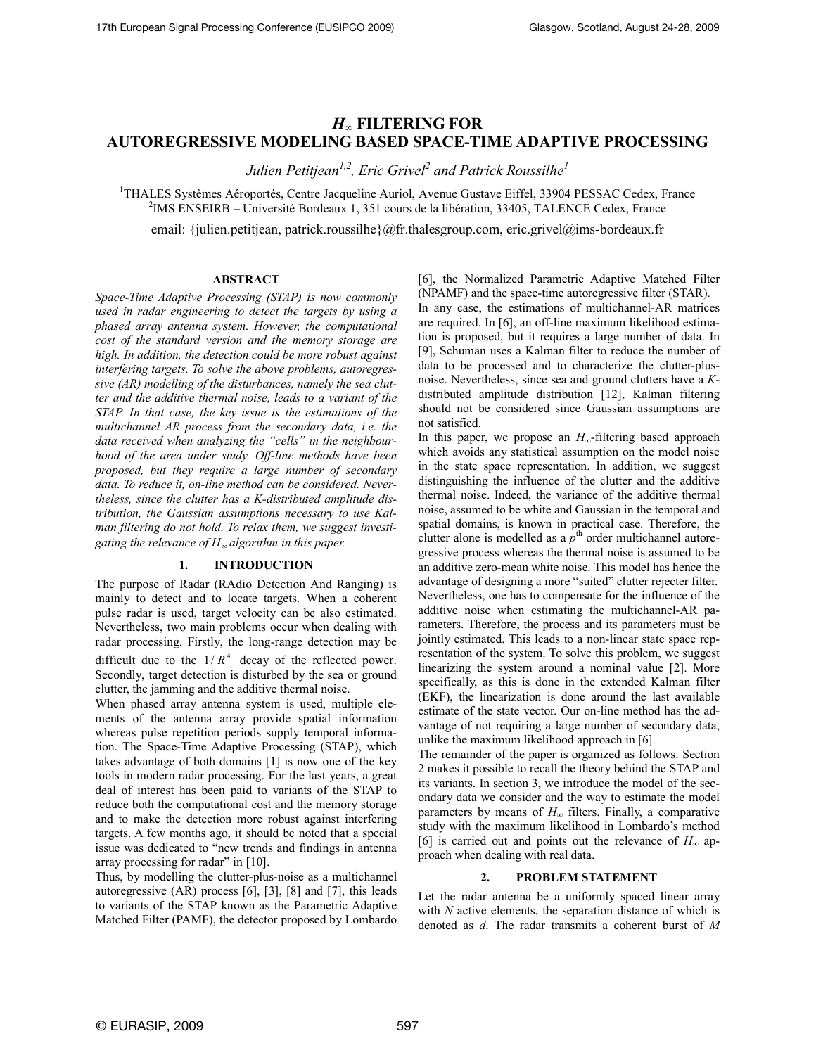# $H_{\infty}$  FILTERING FOR AUTOREGRESSIVE MODELING BASED SPACE-TIME ADAPTIVE PROCESSING

Julien Petitjean $^{l,2}$ , Eric Grivel $^2$  and Patrick Roussilhe $^l$ 

<sup>1</sup>THALES Systèmes Aéroportés, Centre Jacqueline Auriol, Avenue Gustave Eiffel, 33904 PESSAC Cedex, France 2 IMS ENSEIRB – Université Bordeaux 1, 351 cours de la libération, 33405, TALENCE Cedex, France

email: {julien.petitjean, patrick.roussilhe}@fr.thalesgroup.com, eric.grivel@ims-bordeaux.fr

## ABSTRACT

Space-Time Adaptive Processing (STAP) is now commonly used in radar engineering to detect the targets by using a phased array antenna system. However, the computational cost of the standard version and the memory storage are high. In addition, the detection could be more robust against interfering targets. To solve the above problems, autoregressive (AR) modelling of the disturbances, namely the sea clutter and the additive thermal noise, leads to a variant of the STAP. In that case, the key issue is the estimations of the multichannel AR process from the secondary data, i.e. the data received when analyzing the "cells" in the neighbourhood of the area under study. Off-line methods have been proposed, but they require a large number of secondary data. To reduce it, on-line method can be considered. Nevertheless, since the clutter has a K-distributed amplitude distribution, the Gaussian assumptions necessary to use Kalman filtering do not hold. To relax them, we suggest investigating the relevance of  $H_{\infty}$  algorithm in this paper.

# 1. INTRODUCTION

The purpose of Radar (RAdio Detection And Ranging) is mainly to detect and to locate targets. When a coherent pulse radar is used, target velocity can be also estimated. Nevertheless, two main problems occur when dealing with radar processing. Firstly, the long-range detection may be difficult due to the  $1/R<sup>4</sup>$  decay of the reflected power. Secondly, target detection is disturbed by the sea or ground clutter, the jamming and the additive thermal noise.

When phased array antenna system is used, multiple elements of the antenna array provide spatial information whereas pulse repetition periods supply temporal information. The Space-Time Adaptive Processing (STAP), which takes advantage of both domains [1] is now one of the key tools in modern radar processing. For the last years, a great deal of interest has been paid to variants of the STAP to reduce both the computational cost and the memory storage and to make the detection more robust against interfering targets. A few months ago, it should be noted that a special issue was dedicated to "new trends and findings in antenna array processing for radar" in [10].

Thus, by modelling the clutter-plus-noise as a multichannel autoregressive (AR) process [6], [3], [8] and [7], this leads to variants of the STAP known as the Parametric Adaptive Matched Filter (PAMF), the detector proposed by Lombardo [6], the Normalized Parametric Adaptive Matched Filter (NPAMF) and the space-time autoregressive filter (STAR).

In any case, the estimations of multichannel-AR matrices are required. In [6], an off-line maximum likelihood estimation is proposed, but it requires a large number of data. In [9], Schuman uses a Kalman filter to reduce the number of data to be processed and to characterize the clutter-plusnoise. Nevertheless, since sea and ground clutters have a Kdistributed amplitude distribution [12], Kalman filtering should not be considered since Gaussian assumptions are not satisfied.

In this paper, we propose an  $H_{\infty}$ -filtering based approach which avoids any statistical assumption on the model noise in the state space representation. In addition, we suggest distinguishing the influence of the clutter and the additive thermal noise. Indeed, the variance of the additive thermal noise, assumed to be white and Gaussian in the temporal and spatial domains, is known in practical case. Therefore, the clutter alone is modelled as a  $p^{\text{th}}$  order multichannel autoregressive process whereas the thermal noise is assumed to be an additive zero-mean white noise. This model has hence the advantage of designing a more "suited" clutter rejecter filter. Nevertheless, one has to compensate for the influence of the additive noise when estimating the multichannel-AR parameters. Therefore, the process and its parameters must be jointly estimated. This leads to a non-linear state space representation of the system. To solve this problem, we suggest linearizing the system around a nominal value [2]. More specifically, as this is done in the extended Kalman filter (EKF), the linearization is done around the last available estimate of the state vector. Our on-line method has the advantage of not requiring a large number of secondary data, unlike the maximum likelihood approach in [6].

The remainder of the paper is organized as follows. Section 2 makes it possible to recall the theory behind the STAP and its variants. In section 3, we introduce the model of the secondary data we consider and the way to estimate the model parameters by means of  $H_{\infty}$  filters. Finally, a comparative study with the maximum likelihood in Lombardo's method [6] is carried out and points out the relevance of  $H_{\infty}$  approach when dealing with real data.

### 2. PROBLEM STATEMENT

Let the radar antenna be a uniformly spaced linear array with N active elements, the separation distance of which is denoted as d. The radar transmits a coherent burst of M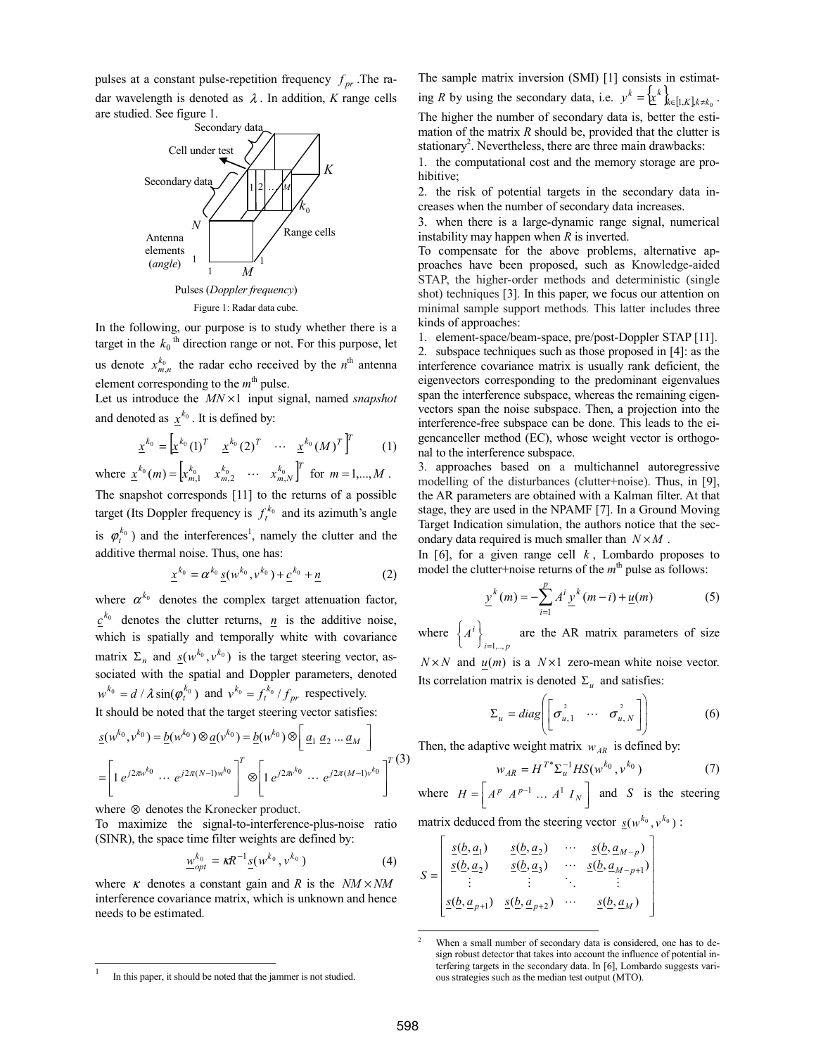pulses at a constant pulse-repetition frequency  $f_{pr}$ . The radar wavelength is denoted as  $\lambda$ . In addition, K range cells are studied. See figure 1.



In the following, our purpose is to study whether there is a target in the  $k_0$ <sup>th</sup> direction range or not. For this purpose, let us denote  $x_{m,n}^{k_0}$  the radar echo received by the  $n^{\text{th}}$  antenna element corresponding to the  $m<sup>th</sup>$  pulse.

Let us introduce the  $MN \times 1$  input signal, named snapshot and denoted as  $x^{k_0}$ . It is defined by:

$$
\underline{x}^{k_0} = \begin{bmatrix} x^{k_0} (1)^T & x^{k_0} (2)^T & \cdots & x^{k_0} (M)^T \end{bmatrix}^T
$$
 (1)  
where  $\underline{x}^{k_0}(m) = \begin{bmatrix} x_{m,1}^{k_0} & x_{m,2}^{k_0} & \cdots & x_{m,N}^{k_0} \end{bmatrix}^T$  for  $m = 1,...,M$ .

The snapshot corresponds [11] to the returns of a possible target (Its Doppler frequency is  $f_t^{k_0}$  and its azimuth's angle is  $\varphi_t^{k_0}$ ) and the interferences<sup>1</sup>, namely the clutter and the additive thermal noise. Thus, one has:

$$
\underline{x}^{k_0} = \alpha^{k_0} \underline{s}(w^{k_0}, v^{k_0}) + \underline{c}^{k_0} + \underline{n}
$$
 (2)

where  $\alpha^{k_0}$  denotes the complex target attenuation factor,  $\underline{c}^{k_0}$  denotes the clutter returns,  $\underline{n}$  is the additive noise, which is spatially and temporally white with covariance matrix  $\Sigma_n$  and  $\underline{s}(w^{k_0}, v^{k_0})$  is the target steering vector, associated with the spatial and Doppler parameters, denoted  $w^{k_0} = d / \lambda \sin(\varphi_t^{k_0})$  and  $v^{k_0} = f_t^{k_0} / f_{pr}$  respectively.

It should be noted that the target steering vector satisfies:

$$
\underline{s}(w^{k_0}, v^{k_0}) = \underline{b}(w^{k_0}) \otimes \underline{a}(v^{k_0}) = \underline{b}(w^{k_0}) \otimes [\underline{a_1} \ \underline{a_2} \ \dots \ \underline{a_M} ]
$$

$$
= [\underline{1} e^{j2\pi v^{k_0}} \ \dots \ e^{j2\pi (N-1)w^{k_0}} ]^T \otimes [\underline{1} e^{j2\pi v^{k_0}} \ \dots \ e^{j2\pi (M-1) v^{k_0}} ]^T (3)
$$

where ⊗ denotes the Kronecker product.

 $\frac{1}{1}$ 

To maximize the signal-to-interference-plus-noise ratio (SINR), the space time filter weights are defined by:

$$
\underline{w}_{opt}^{k_0} = \kappa R^{-1} \underline{s}(w^{k_0}, v^{k_0}) \tag{4}
$$

where  $\kappa$  denotes a constant gain and R is the  $NM \times NM$ interference covariance matrix, which is unknown and hence needs to be estimated.

The sample matrix inversion (SMI) [1] consists in estimating R by using the secondary data, i.e.  $y^k = \{ \underline{x}^k \}_{k \in [1, K], k \neq k_0}$ . The higher the number of secondary data is, better the estimation of the matrix  $R$  should be, provided that the clutter is stationary<sup>2</sup>. Nevertheless, there are three main drawbacks:

1. the computational cost and the memory storage are prohibitive;

2. the risk of potential targets in the secondary data increases when the number of secondary data increases.

3. when there is a large-dynamic range signal, numerical instability may happen when  $R$  is inverted.

To compensate for the above problems, alternative approaches have been proposed, such as Knowledge-aided STAP, the higher-order methods and deterministic (single shot) techniques [3]. In this paper, we focus our attention on minimal sample support methods. This latter includes three kinds of approaches:

1. element-space/beam-space, pre/post-Doppler STAP [11].

2. subspace techniques such as those proposed in [4]: as the interference covariance matrix is usually rank deficient, the eigenvectors corresponding to the predominant eigenvalues span the interference subspace, whereas the remaining eigenvectors span the noise subspace. Then, a projection into the interference-free subspace can be done. This leads to the eigencanceller method (EC), whose weight vector is orthogonal to the interference subspace.

3. approaches based on a multichannel autoregressive modelling of the disturbances (clutter+noise). Thus, in [9], the AR parameters are obtained with a Kalman filter. At that stage, they are used in the NPAMF [7]. In a Ground Moving Target Indication simulation, the authors notice that the secondary data required is much smaller than  $N \times M$ .

In [6], for a given range cell  $k$ , Lombardo proposes to model the clutter+noise returns of the  $m<sup>th</sup>$  pulse as follows:

$$
\underline{y}^{k}(m) = -\sum_{i=1}^{p} A^{i} \underline{y}^{k}(m-i) + \underline{u}(m)
$$
 (5)

where  $i = 1, ..., p$  $A^i$  $\}$ <sub>i=1,..,</sub>  $\left\{ A^{i} \right\}_{i=1}^{n}$  are the AR matrix parameters of size

 $N \times N$  and  $u(m)$  is a  $N \times 1$  zero-mean white noise vector. Its correlation matrix is denoted  $\Sigma_u$  and satisfies:

$$
\Sigma_u = diag\left(\begin{bmatrix} \sigma_{u,1}^2 & \cdots & \sigma_{u,N}^2 \end{bmatrix}\right) \tag{6}
$$

Then, the adaptive weight matrix  $w_{AR}$  is defined by:

$$
w_{AR} = H^{T^*} \Sigma_u^{-1} H S(w^{k_0}, v^{k_0})
$$
 (7)

where 
$$
H = \begin{bmatrix} A^p & A^{p-1} & \dots & A^1 & I_N \end{bmatrix}
$$
 and *S* is the steering

matrix deduced from the steering vector  $\underline{s}(w^{k_0}, v^{k_0})$ :

$$
S = \begin{bmatrix} \underline{s(b, a_1)} & \underline{s(b, a_2)} & \cdots & \underline{s(b, a_{M-p})} \\ \underline{s(b, a_2)} & \underline{s(b, a_3)} & \cdots & \underline{s(b, a_{M-p+1})} \\ \vdots & \vdots & \ddots & \vdots \\ \underline{s(b, a_{p+1})} & \underline{s(b, a_{p+2})} & \cdots & \underline{s(b, a_M)} \end{bmatrix}
$$

-

 $\mathsf{r}$ 

In this paper, it should be noted that the jammer is not studied.

When a small number of secondary data is considered, one has to design robust detector that takes into account the influence of potential interfering targets in the secondary data. In [6], Lombardo suggests various strategies such as the median test output (MTO).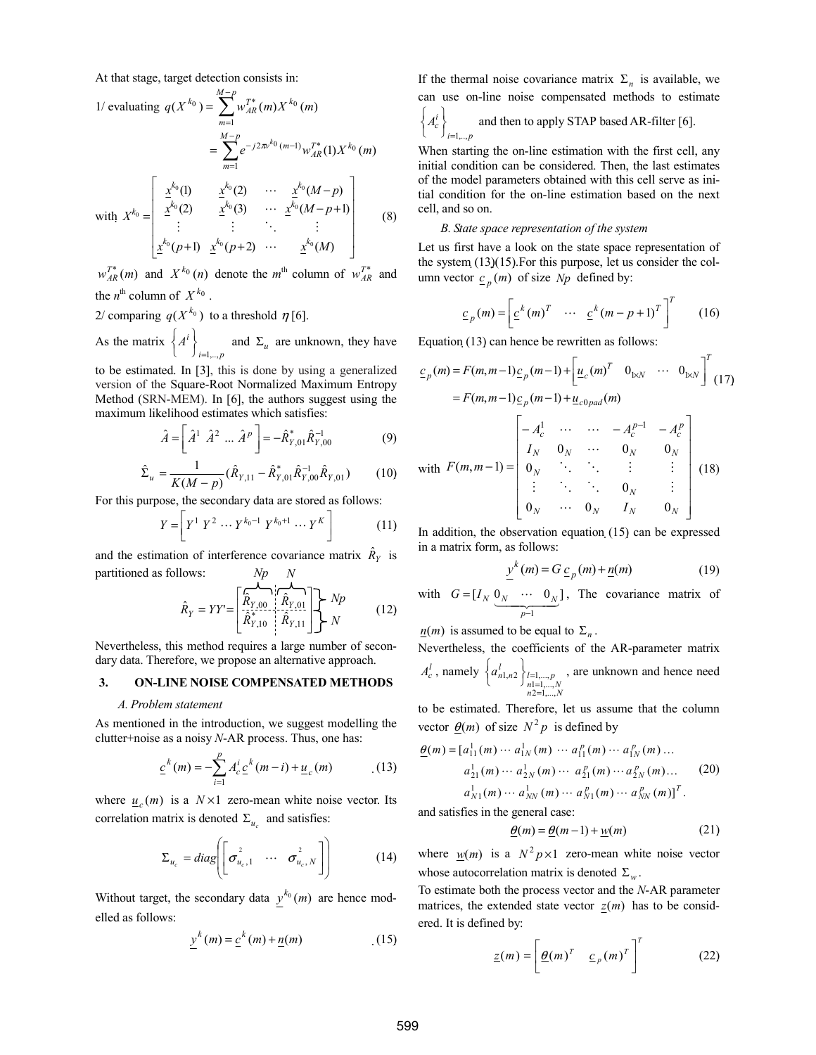At that stage, target detection consists in:

1/ evaluating 
$$
q(X^{k_0}) = \sum_{m=1}^{M-p} w_{AR}^{T*}(m) X^{k_0}(m)
$$
  
\n
$$
= \sum_{m=1}^{M-p} e^{-j2\pi^{k_0}(m-1)} w_{AR}^{T*}(1) X^{k_0}(m)
$$
\nwith  $X^{k_0} = \begin{bmatrix} x^{k_0}(1) & x^{k_0}(2) & \cdots & x^{k_0}(M-p) \\ x^{k_0}(2) & x^{k_0}(3) & \cdots & x^{k_0}(M-p+1) \\ \vdots & \vdots & \ddots & \vdots \\ x^{k_0}(p+1) & x^{k_0}(p+2) & \cdots & x^{k_0}(M) \end{bmatrix}$  (8)

 $w_{AR}^{T*}(m)$  and  $X^{k_0}(n)$  denote the m<sup>th</sup> column of  $w_{AR}^{T*}$  and the  $n^{\text{th}}$  column of  $X^{k_0}$ .

2/ comparing  $q(X^{k_0})$  to a threshold  $\eta$  [6].

As the matrix  $i = 1, \ldots, p$  $A^i$  $\bigg\}_{i=1,\ldots}$  $\left\{ A^{i} \right\}_{i=1...n}$  and  $\Sigma_{u}$  are unknown, they have

to be estimated. In [3], this is done by using a generalized version of the Square-Root Normalized Maximum Entropy Method (SRN-MEM). In [6], the authors suggest using the maximum likelihood estimates which satisfies:

$$
\hat{A} = \left[ \hat{A}^1 \ \hat{A}^2 \ \dots \hat{A}^p \right] = -\hat{R}_{Y,01}^* \hat{R}_{Y,00}^{-1}
$$
 (9)

$$
\hat{\Sigma}_u = \frac{1}{K(M-p)} (\hat{R}_{Y,11} - \hat{R}_{Y,01}^* \hat{R}_{Y,00}^{-1} \hat{R}_{Y,01})
$$
 (10)

For this purpose, the secondary data are stored as follows:

$$
Y = \left[ Y^1 \ Y^2 \ \cdots \ Y^{k_0 - 1} \ Y^{k_0 + 1} \ \cdots \ Y^K \right] \tag{11}
$$

and the estimation of interference covariance matrix  $\hat{R}_Y$  is partitioned as follows:  $Np$   $N$ 

$$
\hat{R}_Y = YY = \begin{bmatrix} \overbrace{\hat{R}_{Y,00}}^{\mathbf{A}} & \overbrace{\hat{R}_{Y,01}}^{\mathbf{A}} \\ \overbrace{\hat{R}_{Y,10}}^{\mathbf{A}} & \overbrace{\hat{R}_{Y,11}}^{\mathbf{A}} \end{bmatrix} \begin{bmatrix} \overbrace{Np} & & \\ N & & \end{bmatrix} \tag{12}
$$

Nevertheless, this method requires a large number of secondary data. Therefore, we propose an alternative approach.

### 3. ON-LINE NOISE COMPENSATED METHODS

### A. Problem statement

As mentioned in the introduction, we suggest modelling the clutter+noise as a noisy N-AR process. Thus, one has:

$$
\underline{c}^{k}(m) = -\sum_{i=1}^{p} A_{c}^{i} \underline{c}^{k}(m-i) + \underline{u}_{c}(m) \tag{13}
$$

where  $u_c(m)$  is a  $N \times 1$  zero-mean white noise vector. Its correlation matrix is denoted  $\Sigma_{u_c}$  and satisfies:

$$
\Sigma_{u_c} = diag \left[ \begin{bmatrix} \sigma_{u_c,1}^2 & \cdots & \sigma_{u_c,N}^2 \end{bmatrix} \right] \qquad (14)
$$

Without target, the secondary data  $y^{k_0}(m)$  are hence modelled as follows:

$$
\underline{y}^k(m) = \underline{c}^k(m) + \underline{n}(m) \tag{15}
$$

If the thermal noise covariance matrix  $\Sigma_n$  is available, we can use on-line noise compensated methods to estimate

$$
\left\{ A_c^i \right\}_{i=1,..,p}
$$
 and then to apply STAR based AR-filter [6].

When starting the on-line estimation with the first cell, any initial condition can be considered. Then, the last estimates of the model parameters obtained with this cell serve as initial condition for the on-line estimation based on the next cell, and so on.

### B. State space representation of the system

Let us first have a look on the state space representation of the system (13)(15).For this purpose, let us consider the column vector  $\underline{c}_p(m)$  of size *Np* defined by:

$$
\underline{c}_p(m) = \left[ \underline{c}^k(m)^T \quad \cdots \quad \underline{c}^k(m-p+1)^T \right]^T \tag{16}
$$

Equation (13) can hence be rewritten as follows:

$$
\underline{c}_p(m) = F(m, m-1)\underline{c}_p(m-1) + \left[\underline{u}_c(m)^T \quad 0_{1 \times N} \quad \cdots \quad 0_{1 \times N}\right]^T (17)
$$
\n
$$
= F(m, m-1)\underline{c}_p(m-1) + \underline{u}_{c0pad}(m)
$$
\nwith  $F(m, m-1) = \begin{bmatrix} -A_c^1 & \cdots & \cdots & -A_c^{p-1} & -A_c^p \\ I_N & 0_N & \cdots & 0_N & 0_N \\ 0_N & \cdots & \cdots & \vdots & \vdots \\ 0_N & \cdots & 0_N & I_N & 0_N \end{bmatrix}$  (18)

In addition, the observation equation (15) can be expressed in a matrix form, as follows:

$$
y^{k}(m) = G \underline{c}_p(m) + \underline{n}(m)
$$
 (19)

with  $G = [I_N \ 0_N \ \cdots \ 0_N]$  $\underbrace{0_N \quad \cdots \quad 0_N}_{p-1}$ − = p  $G = [I_N \ 0_N \ \cdots \ 0_N]$ , The covariance matrix of

 $\underline{n}(m)$  is assumed to be equal to  $\Sigma_n$ .

Nevertheless, the coefficients of the AR-parameter matrix  $A_c^l$ , namely  $a_{n1,n2}^l$   $\}_{\substack{l=1,\dots,p\\ n1=1,\dots,N\\ n2=1,\dots,N}}$  $\begin{array}{c} 1, n \, 2 \int_{n=1,...,p}^{1,1,...,p} \\ n \geq 1, ..., \\ n \geq 1, ..., \end{array}$  $\left\{\n \begin{array}{l}\n l=1, \\
n=1 \\
n=2\n \end{array}\n \right.$  $\left\{ a_{n1,n2}^l \right\}_{\substack{l=1,\ldots,p\\ n=1,N}}$ , are unknown and hence need

to be estimated. Therefore, let us assume that the column vector  $\theta(m)$  of size  $N^2p$  is defined by

$$
\underline{\theta}(m) = [a_{11}^1(m) \cdots a_{1N}^1(m) \cdots a_{11}^p(m) \cdots a_{1N}^p(m) \cdots \n a_{21}^1(m) \cdots a_{2N}^1(m) \cdots a_{21}^p(m) \cdots a_{2N}^p(m) \cdots \n a_{N1}^1(m) \cdots a_{NN}^1(m) \cdots a_{N1}^p(m) \cdots a_{NN}^p(m)]^T.
$$
\n(20)

and satisfies in the general case:

$$
\underline{\theta}(m) = \underline{\theta}(m-1) + \underline{w}(m) \tag{21}
$$

where  $w(m)$  is a  $N^2 p \times 1$  zero-mean white noise vector whose autocorrelation matrix is denoted  $\Sigma_w$ .

To estimate both the process vector and the N-AR parameter matrices, the extended state vector  $z(m)$  has to be considered. It is defined by:

$$
\underline{z}(m) = \left[\underline{\theta}(m)^{T} \quad \underline{c}_{p}(m)^{T}\right]^{T} \quad (22)
$$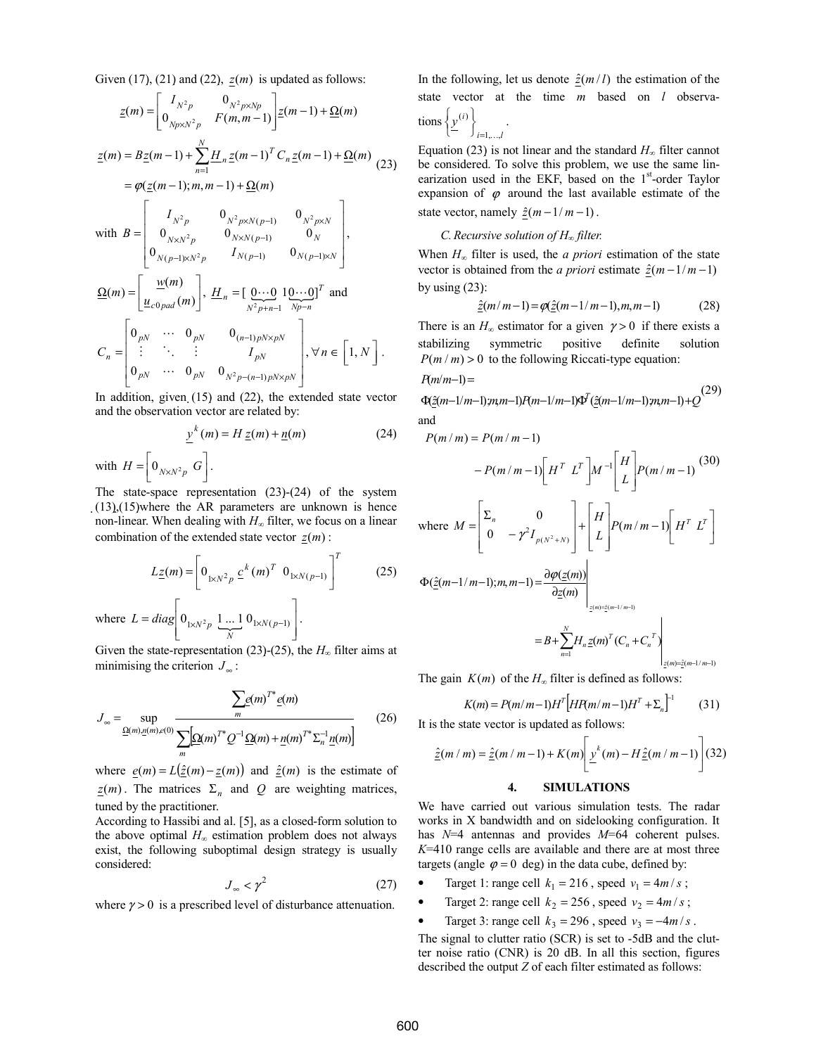Given (17), (21) and (22),  $z(m)$  is updated as follows:

$$
\underline{z}(m) = \begin{bmatrix} I_{N^2 p} & 0_{N^2 p \times N p} \\ 0_{N p \times N^2 p} & F(m, m - 1) \end{bmatrix} \underline{z}(m - 1) + \underline{\Omega}(m)
$$
  
\n
$$
\underline{z}(m) = B \underline{z}(m - 1) + \sum_{n=1}^{N} \underline{H}_n \underline{z}(m - 1)^T C_n \underline{z}(m - 1) + \underline{\Omega}(m)
$$
  
\n
$$
= \varphi(\underline{z}(m - 1); m, m - 1) + \underline{\Omega}(m)
$$
  
\nwith  $B = \begin{bmatrix} I_{N^2 p} & 0_{N^2 p \times N(p - 1)} & 0_{N^2 p \times N} \\ 0_{N \times N^2 p} & 0_{N \times N(p - 1)} & 0_N \\ 0_{N(p - 1) \times N^2 p} & I_{N(p - 1)} & 0_{N(p - 1) \times N} \end{bmatrix}$ ,  
\n
$$
\underline{\Omega}(m) = \begin{bmatrix} \underline{w}(m) \\ \underline{u}_{c0 pad}(m) \end{bmatrix}, \underline{H}_n = \begin{bmatrix} 0 \cdots 0 & 10 \cdots 0 \end{bmatrix}^T \text{ and}
$$
  
\n
$$
C_n = \begin{bmatrix} 0_{pN} & \cdots & 0_{pN} & 0_{(n - 1) pN \times pN} \\ \vdots & \ddots & \vdots & I_{pN} \\ 0_{pN} & \cdots & 0_{pN} & 0_{N^2 p - (n - 1) pN \times pN} \end{bmatrix}, \forall n \in \begin{bmatrix} 1, N \end{bmatrix}.
$$

In addition, given  $(15)$  and  $(22)$ , the extended state vector and the observation vector are related by:

$$
\underline{y}^{k}(m) = H \underline{z}(m) + \underline{n}(m) \tag{24}
$$

with  $H = \left[ \begin{array}{c} 0_{N \times N^2 p} & G \end{array} \right]$ 1  $\overline{\phantom{a}}$  $H = \left[ 0_{N \times N^2 p} G \right].$ 

The state-space representation (23)-(24) of the system (13),(15)where the AR parameters are unknown is hence non-linear. When dealing with  $H_{\infty}$  filter, we focus on a linear combination of the extended state vector  $z(m)$ :

$$
L_{\underline{z}}(m) = \left[ 0_{1 \times N^2 p} \underline{c}^k (m)^T \ 0_{1 \times N(p-1)} \right]^T
$$
 (25)  
where  $L = diag \left[ 0_{1 \times N^2 p} \ \frac{1 \dots 1}{N} 0_{1 \times N(p-1)} \right]$ .

Given the state-representation (23)-(25), the  $H_{\infty}$  filter aims at minimising the criterion  $J_{\infty}$ :

$$
J_{\infty} = \sup_{\underline{\Omega}(m), \underline{n}(m), \epsilon(0)} \frac{\sum_{m} e(m)^{T^*} e(m)}{\sum_{m} [\underline{\Omega}(m)^{T^*} Q^{-1} \underline{\Omega}(m) + \underline{n}(m)^{T^*} \Sigma_n^{-1} \underline{n}(m)]}
$$
(26)

where  $e(m) = L(\hat{z}(m) - \underline{z}(m))$  and  $\hat{z}(m)$  is the estimate of  $\underline{z}(m)$ . The matrices  $\Sigma_n$  and  $Q$  are weighting matrices, tuned by the practitioner.

According to Hassibi and al. [5], as a closed-form solution to the above optimal  $H_{\infty}$  estimation problem does not always exist, the following suboptimal design strategy is usually considered:

$$
J_{\infty} < \gamma^2 \tag{27}
$$

where  $\gamma > 0$  is a prescribed level of disturbance attenuation.

In the following, let us denote  $\frac{\hat{z}(m/l)}{l}$  the estimation of the state vector at the time  $m$  based on  $l$  observatio  $\left\{ y^{(i)} \right\}$ .

$$
\left\{\underbrace{y}_{i=1,\ldots,l}\right\}
$$

Equation (23) is not linear and the standard  $H_{\infty}$  filter cannot be considered. To solve this problem, we use the same linearization used in the EKF, based on the 1<sup>st</sup>-order Taylor expansion of  $\varphi$  around the last available estimate of the state vector, namely  $\hat{z}(m-1/m-1)$ .

### C. Recursive solution of  $H_{\infty}$  filter.

When  $H_{\infty}$  filter is used, the *a priori* estimation of the state vector is obtained from the *a priori* estimate  $\hat{z}(m-1/m-1)$ by using  $(23)$ :

$$
\hat{z}(m/m-1) = \varphi(\hat{z}(m-1/m-1), m, m-1)
$$
 (28)

There is an  $H_{\infty}$  estimator for a given  $\gamma > 0$  if there exists a stabilizing symmetric positive definite solution  $P(m/m) > 0$  to the following Riccati-type equation:

$$
P(m/m-1) =
$$

 $\hat{z}$ (m–1/m–1);n,m–1) $P$ (m–1/m–1) $\Phi'(\hat{z}$ (m–1/m–1);n,m–1)+ $Q$  $\Phi(\hat{z}(m-1/m-1)m, m-1)P(m-1/m-1)\Phi^{T}(\hat{z}(m-1/m-1)m, m-1)+$  $(\hat{z}(m-1/m-1)m, -1)P(m-1/m-1)\Phi^{T}(\hat{z}(m-1/m-1)m, -1)$ (29) and

$$
P(m/m) = P(m/m-1)
$$

$$
-P(m/m-1)\left[H^T L^T\right]M^{-1}\left[H^T L^T\right]P(m/m-1) \tag{30}
$$

where 
$$
M = \begin{bmatrix} \Sigma_n & 0 \\ 0 & -\gamma^2 I_{p(N^2+N)} \end{bmatrix} + \begin{bmatrix} H \\ L \end{bmatrix} P(m/m-1) \begin{bmatrix} H^T & L^T \end{bmatrix}
$$

$$
\Phi(\hat{z}(m-1/m-1);m,m-1) = \frac{\partial \varphi(z(m))}{\partial z(m)}\Big|_{z(m)=\hat{z}(m-1/m-1)}
$$
  
=  $B + \sum_{n=1}^{N} H_n \underline{z}(m)^T (C_n + C_n^T)$ 

 $z(m)=\hat{z}(m-1/m-1)$ 

The gain  $K(m)$  of the  $H_{\infty}$  filter is defined as follows:

$$
K(m) = P(m/m-1)H^{T}[HRm/m-1]H^{T} + \Sigma_{n}]^{-1}
$$
 (31)

It is the state vector is updated as follows:

$$
\underline{\hat{z}}(m \mid m) = \underline{\hat{z}}(m \mid m-1) + K(m) \bigg[ \underline{y}^k(m) - H \underline{\hat{z}}(m \mid m-1) \bigg] (32)
$$

### 4. SIMULATIONS

We have carried out various simulation tests. The radar works in X bandwidth and on sidelooking configuration. It has  $N=4$  antennas and provides  $M=64$  coherent pulses.  $K=410$  range cells are available and there are at most three targets (angle  $\varphi = 0$  deg) in the data cube, defined by:

• Target 1: range cell  $k_1 = 216$ , speed  $v_1 = 4m/s$ ;

Target 2: range cell  $k_2 = 256$ , speed  $v_2 = 4m/s$ ;

Target 3: range cell  $k_3 = 296$ , speed  $v_3 = -4m/s$ .

The signal to clutter ratio (SCR) is set to -5dB and the clutter noise ratio (CNR) is 20 dB. In all this section, figures described the output Z of each filter estimated as follows: